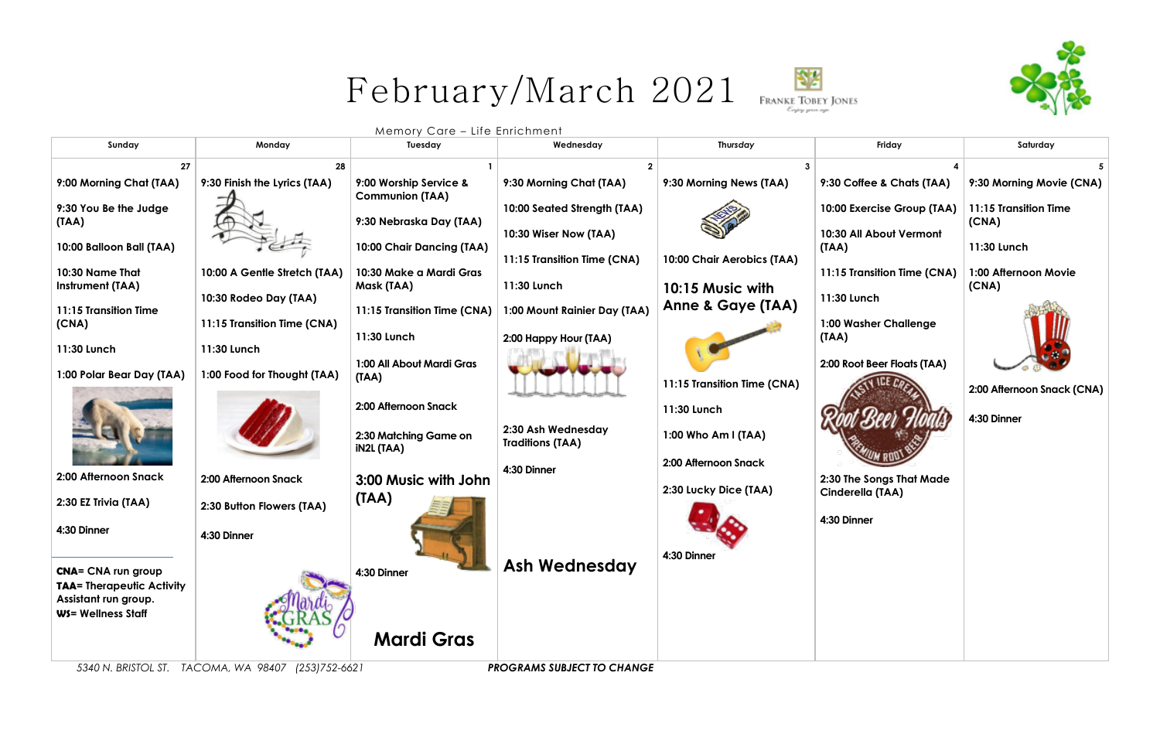



Memory Care – Life Enrichment

| 27<br>28                                                                                                                                      |                             |                            |
|-----------------------------------------------------------------------------------------------------------------------------------------------|-----------------------------|----------------------------|
|                                                                                                                                               |                             |                            |
| 9:30 Finish the Lyrics (TAA)<br>9:00 Worship Service &<br>9:30 Morning Chat (TAA)<br>9:00 Morning Chat (TAA)<br>9:30 Morning News (TAA)       | 9:30 Coffee & Chats (TAA)   | 9:30 Morning Movie (CNA)   |
| <b>Communion (TAA)</b><br>9:30 You Be the Judge<br>10:00 Seated Strength (TAA)                                                                | 10:00 Exercise Group (TAA)  | 11:15 Transition Time      |
| 9:30 Nebraska Day (TAA)<br>(TAA)<br>10:30 Wiser Now (TAA)                                                                                     | 10:30 All About Vermont     | (CNA)                      |
| 10:00 Balloon Ball (TAA)<br>10:00 Chair Dancing (TAA)                                                                                         | (IAA)                       | 11:30 Lunch                |
| 11:15 Transition Time (CNA)<br>10:00 Chair Aerobics (TAA)<br>10:30 Name That<br>10:30 Make a Mardi Gras<br>10:00 A Gentle Stretch (TAA)       | 11:15 Transition Time (CNA) | 1:00 Afternoon Movie       |
| 11:30 Lunch<br>Mask (TAA)<br><b>Instrument (TAA)</b><br>10:15 Music with                                                                      |                             | (CNA)                      |
| 10:30 Rodeo Day (TAA)<br><b>Anne &amp; Gaye (TAA)</b><br>1:00 Mount Rainier Day (TAA)<br>11:15 Transition Time<br>11:15 Transition Time (CNA) | 11:30 Lunch                 |                            |
| 11:15 Transition Time (CNA)<br>(CNA)                                                                                                          | 1:00 Washer Challenge       |                            |
| 11:30 Lunch<br>2:00 Happy Hour (TAA)<br>11:30 Lunch<br>11:30 Lunch                                                                            | (TAA)                       |                            |
| 1:00 All About Mardi Gras                                                                                                                     | 2:00 Root Beer Floats (TAA) |                            |
| 1:00 Food for Thought (TAA)<br>1:00 Polar Bear Day (TAA)<br>(TAA)<br>11:15 Transition Time (CNA)                                              |                             |                            |
| 2:00 Afternoon Snack                                                                                                                          |                             | 2:00 Afternoon Snack (CNA) |
| 11:30 Lunch                                                                                                                                   |                             | 4:30 Dinner                |
| 2:30 Ash Wednesday<br>2:30 Matching Game on<br>1:00 Who Am I (TAA)<br><b>Traditions (TAA)</b>                                                 |                             |                            |
| <b>iN2L (TAA)</b><br>2:00 Afternoon Snack                                                                                                     |                             |                            |
| 4:30 Dinner<br>2:00 Afternoon Snack<br>2:00 Afternoon Snack<br>3:00 Music with John                                                           | 2:30 The Songs That Made    |                            |
| 2:30 Lucky Dice (TAA)<br>(IAA)                                                                                                                | Cinderella (TAA)            |                            |
| 2:30 EZ Trivia (TAA)<br>2:30 Button Flowers (TAA)                                                                                             |                             |                            |
| 4:30 Dinner<br>4:30 Dinner                                                                                                                    | 4:30 Dinner                 |                            |
|                                                                                                                                               |                             |                            |
| 4:30 Dinner<br><b>TALL</b><br><b>Ash Wednesday</b><br><b>CNA= CNA run group</b><br>4:30 Dinner                                                |                             |                            |
| <b>TAA= Therapeutic Activity</b>                                                                                                              |                             |                            |
| Assistant run group.                                                                                                                          |                             |                            |
| WS= Wellness Staff                                                                                                                            |                             |                            |
| <b>Mardi Gras</b>                                                                                                                             |                             |                            |

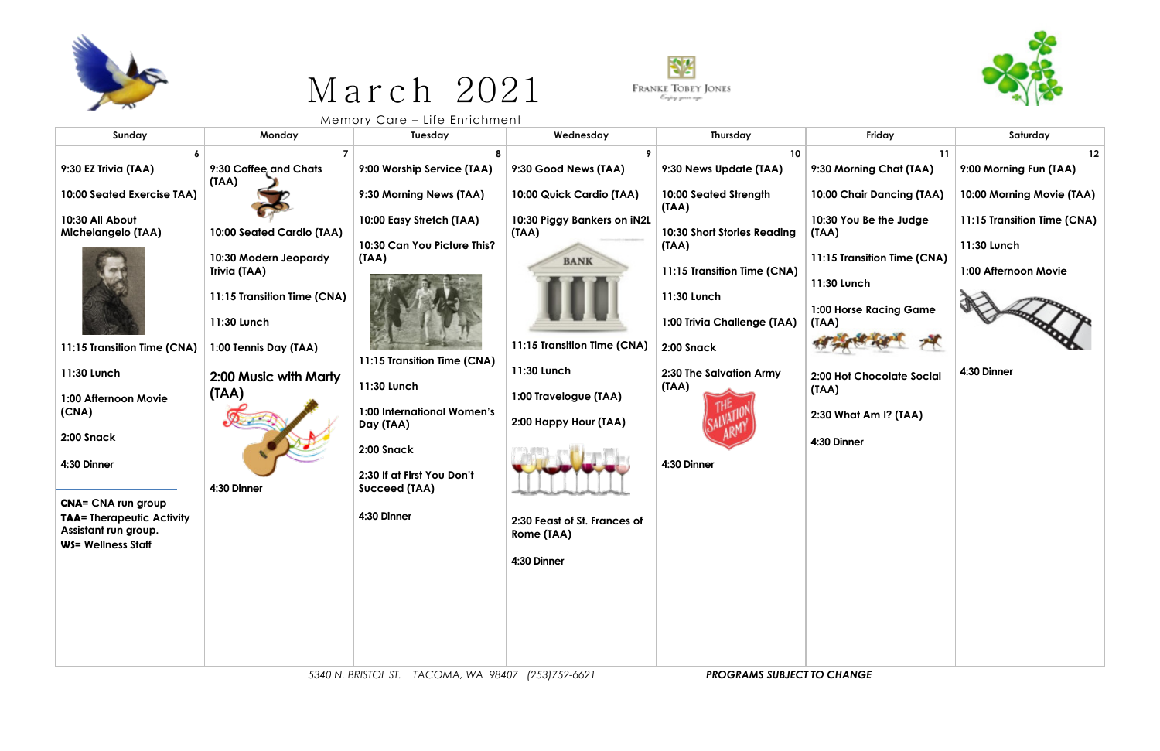

## March 2021



 $N = N - N$ 

| Sunday                                                                                                                                                                                                                                                                                                                        | Monday                                                                                                                                                                                                                       | $1110111017$ $0.410$<br>Tuesday                                                                                                                                                                                                                                                                | Wednesday                                                                                                                                                                                                                                                            | Thursday                                                                                                                                                                                                                                                          | Friday                                                                                                                                                                                                                                                       | Saturday                                                                                                                                                      |
|-------------------------------------------------------------------------------------------------------------------------------------------------------------------------------------------------------------------------------------------------------------------------------------------------------------------------------|------------------------------------------------------------------------------------------------------------------------------------------------------------------------------------------------------------------------------|------------------------------------------------------------------------------------------------------------------------------------------------------------------------------------------------------------------------------------------------------------------------------------------------|----------------------------------------------------------------------------------------------------------------------------------------------------------------------------------------------------------------------------------------------------------------------|-------------------------------------------------------------------------------------------------------------------------------------------------------------------------------------------------------------------------------------------------------------------|--------------------------------------------------------------------------------------------------------------------------------------------------------------------------------------------------------------------------------------------------------------|---------------------------------------------------------------------------------------------------------------------------------------------------------------|
| 9:30 EZ Trivia (TAA)<br>10:00 Seated Exercise TAA)<br>10:30 All About<br><b>Michelangelo (TAA)</b><br>11:15 Transition Time (CNA)<br>11:30 Lunch<br>1:00 Afternoon Movie<br>(CNA)<br>2:00 Snack<br>4:30 Dinner<br><b>CNA= CNA run group</b><br><b>TAA= Therapeutic Activity</b><br>Assistant run group.<br>WS= Wellness Staff | 9:30 Coffee and Chats<br>(TAA)<br>10:00 Seated Cardio (TAA)<br>10:30 Modern Jeopardy<br>Trivia (TAA)<br>11:15 Transition Time (CNA)<br>11:30 Lunch<br>1:00 Tennis Day (TAA)<br>2:00 Music with Marty<br>(TAA)<br>4:30 Dinner | 9:00 Worship Service (TAA)<br>9:30 Morning News (TAA)<br>10:00 Easy Stretch (TAA)<br>10:30 Can You Picture This?<br>(TAA)<br>11:15 Transition Time (CNA)<br>11:30 Lunch<br>1:00 International Women's<br>Day (TAA)<br>2:00 Snack<br>2:30 If at First You Don't<br>Succeed (TAA)<br>4:30 Dinner | 9:30 Good News (TAA)<br>10:00 Quick Cardio (TAA)<br>10:30 Piggy Bankers on iN2L<br>(TAA)<br><b>BANK</b><br>11:15 Transition Time (CNA)<br>11:30 Lunch<br>1:00 Travelogue (TAA)<br>2:00 Happy Hour (TAA)<br>2:30 Feast of St. Frances of<br>Rome (TAA)<br>4:30 Dinner | 10 <sup>°</sup><br>9:30 News Update (TAA)<br>10:00 Seated Strength<br>(TAA)<br>10:30 Short Stories Reading<br>(TAA)<br>11:15 Transition Time (CNA)<br>11:30 Lunch<br>1:00 Trivia Challenge (TAA)<br>2:00 Snack<br>2:30 The Salvation Army<br>(TAA)<br>4:30 Dinner | 11<br>9:30 Morning Chat (TAA)<br>10:00 Chair Dancing (TAA)<br>10:30 You Be the Judge<br>(IAA)<br>11:15 Transition Time (CNA)<br>11:30 Lunch<br>1:00 Horse Racing Game<br>(TAA)<br>2:00 Hot Chocolate Social<br>(TAA)<br>2:30 What Am I? (TAA)<br>4:30 Dinner | $12 \overline{ }$<br>9:00 Morning Fun (TAA)<br>10:00 Morning Movie (TAA)<br>11:15 Transition Time (CNA)<br>11:30 Lunch<br>1:00 Afternoon Movie<br>4:30 Dinner |

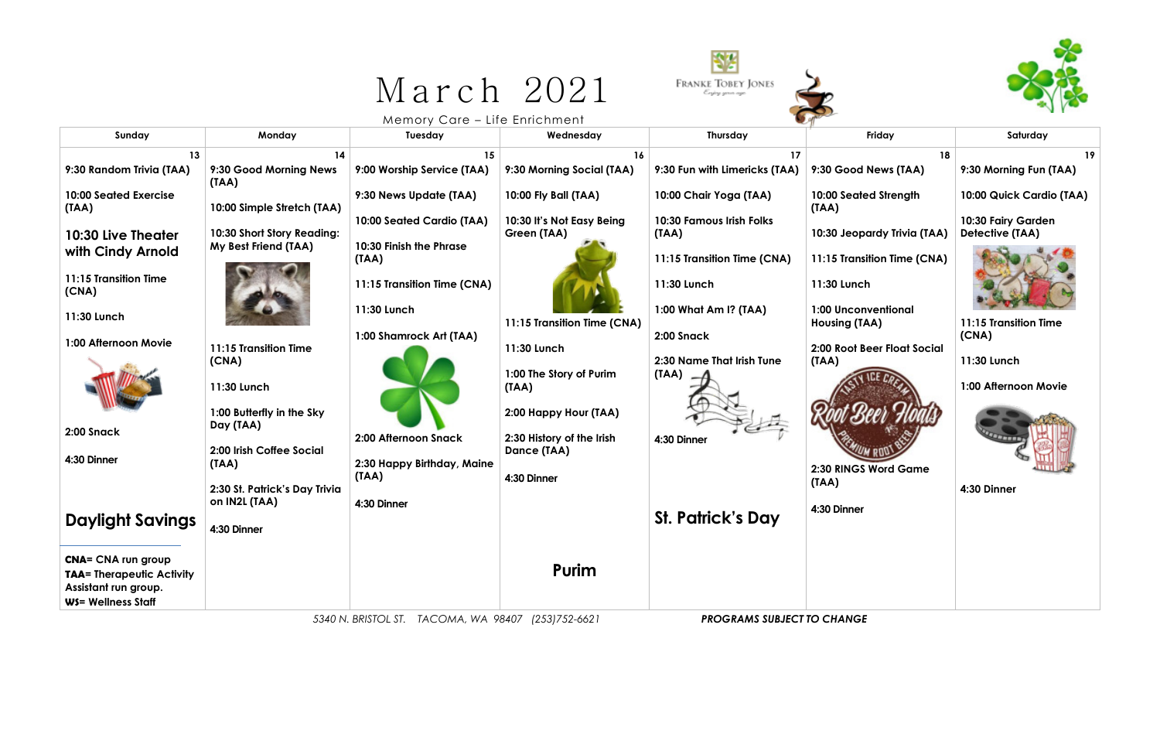## March 2021





Memory Care – Life Enrichment

| Sunday                                                                                                      | Monday                                                                                                                                                                                        | Tuesday                                                                                               | Wednesday                                                                                                                           | Thursday                                                                                    | Friday                                                                               | Saturday                                                    |
|-------------------------------------------------------------------------------------------------------------|-----------------------------------------------------------------------------------------------------------------------------------------------------------------------------------------------|-------------------------------------------------------------------------------------------------------|-------------------------------------------------------------------------------------------------------------------------------------|---------------------------------------------------------------------------------------------|--------------------------------------------------------------------------------------|-------------------------------------------------------------|
| 13<br>9:30 Random Trivia (TAA)                                                                              | 14<br>9:30 Good Morning News<br>(TAA)                                                                                                                                                         | 15<br>9:00 Worship Service (TAA)                                                                      | 16<br>9:30 Morning Social (TAA)                                                                                                     | 17<br>9:30 Fun with Limericks (TAA)                                                         | 18<br>9:30 Good News (TAA)                                                           | 19<br>9:30 Morning Fun (TAA)                                |
| <b>10:00 Seated Exercise</b><br>(IAA)                                                                       | 10:00 Simple Stretch (TAA)                                                                                                                                                                    | 9:30 News Update (TAA)<br>10:00 Seated Cardio (TAA)                                                   | 10:00 Fly Ball (TAA)<br>10:30 It's Not Easy Being                                                                                   | 10:00 Chair Yoga (TAA)<br><b>10:30 Famous Irish Folks</b>                                   | 10:00 Seated Strength<br>(TAA)                                                       | 10:00 Quick Cardio (TAA)<br>10:30 Fairy Garden              |
| 10:30 Live Theater<br>with Cindy Arnold                                                                     | 10:30 Short Story Reading:<br>My Best Friend (TAA)                                                                                                                                            | 10:30 Finish the Phrase<br>(TAA)                                                                      | Green (TAA)                                                                                                                         | (TAA)<br>11:15 Transition Time (CNA)                                                        | 10:30 Jeopardy Trivia (TAA)<br>11:15 Transition Time (CNA)                           | Detective (TAA)                                             |
| 11:15 Transition Time<br>(CNA)                                                                              |                                                                                                                                                                                               | 11:15 Transition Time (CNA)                                                                           |                                                                                                                                     | 11:30 Lunch                                                                                 | 11:30 Lunch                                                                          |                                                             |
| 11:30 Lunch                                                                                                 |                                                                                                                                                                                               | 11:30 Lunch                                                                                           | 11:15 Transition Time (CNA)                                                                                                         | 1:00 What Am I? (TAA)                                                                       | <b>1:00 Unconventional</b><br>Housing (TAA)                                          | 11:15 Transition Time                                       |
| 1:00 Afternoon Movie<br>2:00 Snack<br>4:30 Dinner<br><b>Daylight Savings</b>                                | 11:15 Transition Time<br>(CNA)<br>11:30 Lunch<br>1:00 Butterfly in the Sky<br>Day (TAA)<br>2:00 Irish Coffee Social<br>(TAA)<br>2:30 St. Patrick's Day Trivia<br>on IN2L (TAA)<br>4:30 Dinner | 1:00 Shamrock Art (TAA)<br>2:00 Afternoon Snack<br>2:30 Happy Birthday, Maine<br>(TAA)<br>4:30 Dinner | 11:30 Lunch<br>1:00 The Story of Purim<br>(IAA)<br>2:00 Happy Hour (TAA)<br>2:30 History of the Irish<br>Dance (TAA)<br>4:30 Dinner | 2:00 Snack<br>2:30 Name That Irish Tune<br>(TAA)<br>4:30 Dinner<br><b>St. Patrick's Day</b> | 2:00 Root Beer Float Social<br>(TAA)<br>2:30 RINGS Word Game<br>(TAA)<br>4:30 Dinner | (CNA)<br>11:30 Lunch<br>1:00 Afternoon Movie<br>4:30 Dinner |
| <b>CNA= CNA run group</b><br><b>TAA= Therapeutic Activity</b><br>Assistant run group.<br>WS= Wellness Staff |                                                                                                                                                                                               |                                                                                                       | Purim                                                                                                                               |                                                                                             |                                                                                      |                                                             |

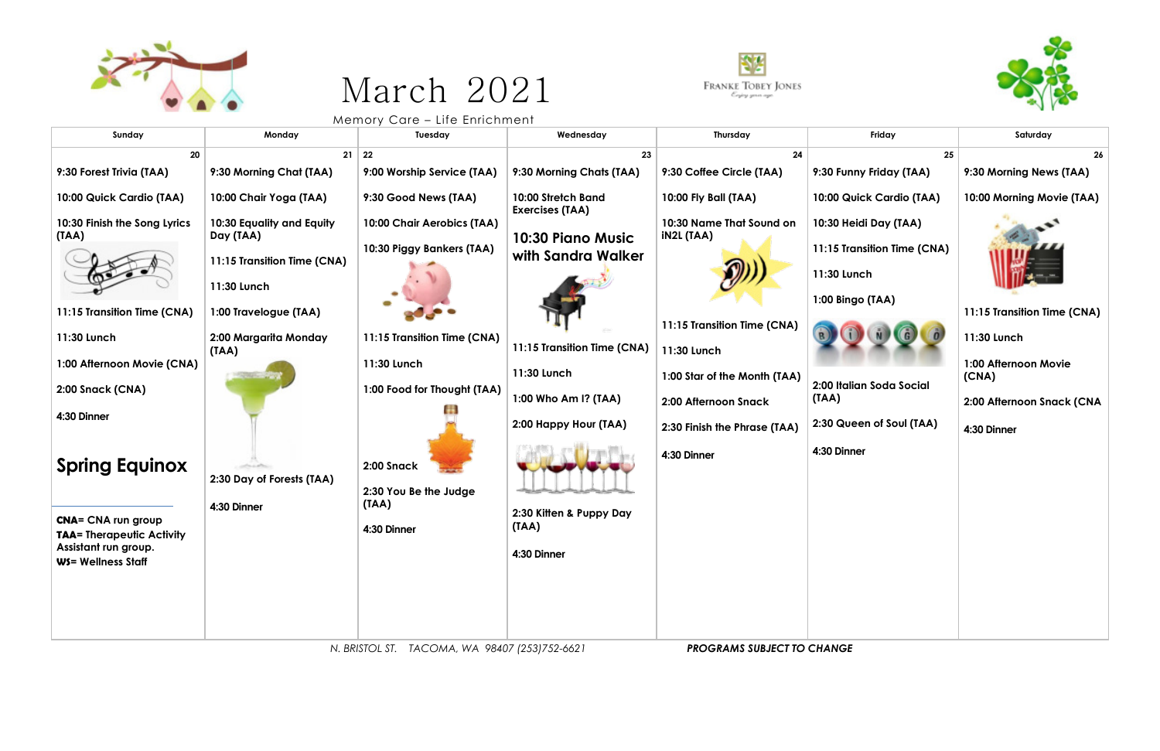

## March 2021



Memory Care – Life Enrichment

| Sunday                                                   | Monday                      | .<br>Tuesday                | Wednesday                                    | Thursday                     | Friday                            | Saturday                    |
|----------------------------------------------------------|-----------------------------|-----------------------------|----------------------------------------------|------------------------------|-----------------------------------|-----------------------------|
| 20                                                       |                             | $21 \mid 22$                | 23                                           | 24                           | 25                                | 26                          |
| 9:30 Forest Trivia (TAA)                                 | 9:30 Morning Chat (TAA)     | 9:00 Worship Service (TAA)  | 9:30 Morning Chats (TAA)                     | 9:30 Coffee Circle (TAA)     | 9:30 Funny Friday (TAA)           | 9:30 Morning News (TAA)     |
| 10:00 Quick Cardio (TAA)                                 | 10:00 Chair Yoga (TAA)      | 9:30 Good News (TAA)        | 10:00 Stretch Band<br><b>Exercises (TAA)</b> | 10:00 Fly Ball (TAA)         | 10:00 Quick Cardio (TAA)          | 10:00 Morning Movie (TAA)   |
| 10:30 Finish the Song Lyrics                             | 10:30 Equality and Equity   | 10:00 Chair Aerobics (TAA)  |                                              | 10:30 Name That Sound on     | 10:30 Heidi Day (TAA)             |                             |
| (TAA)                                                    | Day (TAA)                   | 10:30 Piggy Bankers (TAA)   | 10:30 Piano Music                            | <b>iN2L (TAA)</b>            | 11:15 Transition Time (CNA)       |                             |
|                                                          | 11:15 Transition Time (CNA) |                             | with Sandra Walker                           |                              |                                   |                             |
|                                                          | 11:30 Lunch                 |                             |                                              |                              | 11:30 Lunch                       |                             |
|                                                          |                             |                             |                                              |                              | 1:00 Bingo (TAA)                  |                             |
| 11:15 Transition Time (CNA)                              | 1:00 Travelogue (TAA)       |                             |                                              | 11:15 Transition Time (CNA)  |                                   | 11:15 Transition Time (CNA) |
| 11:30 Lunch                                              | 2:00 Margarita Monday       | 11:15 Transition Time (CNA) |                                              |                              |                                   | 11:30 Lunch                 |
| 1:00 Afternoon Movie (CNA)                               | (TAA)                       | 11:30 Lunch                 | 11:15 Transition Time (CNA)                  | 11:30 Lunch                  |                                   | 1:00 Afternoon Movie        |
|                                                          |                             |                             | 11:30 Lunch                                  | 1:00 Star of the Month (TAA) |                                   | (CNA)                       |
| 2:00 Snack (CNA)                                         |                             | 1:00 Food for Thought (TAA) | 1:00 Who Am I? (TAA)                         | 2:00 Afternoon Snack         | 2:00 Italian Soda Social<br>(TAA) | 2:00 Afternoon Snack (CNA   |
| 4:30 Dinner                                              |                             |                             |                                              |                              |                                   |                             |
|                                                          |                             |                             | 2:00 Happy Hour (TAA)                        | 2:30 Finish the Phrase (TAA) | 2:30 Queen of Soul (TAA)          | 4:30 Dinner                 |
|                                                          |                             |                             |                                              | 4:30 Dinner                  | 4:30 Dinner                       |                             |
| <b>Spring Equinox</b>                                    |                             | 2:00 Snack                  |                                              |                              |                                   |                             |
|                                                          | 2:30 Day of Forests (TAA)   | 2:30 You Be the Judge       |                                              |                              |                                   |                             |
|                                                          | 4:30 Dinner                 | (TAA)                       | 2:30 Kitten & Puppy Day                      |                              |                                   |                             |
| <b>CNA= CNA run group</b>                                |                             | 4:30 Dinner                 | (TAA)                                        |                              |                                   |                             |
| <b>TAA= Therapeutic Activity</b><br>Assistant run group. |                             |                             |                                              |                              |                                   |                             |
| <b>WS= Wellness Staff</b>                                |                             |                             | 4:30 Dinner                                  |                              |                                   |                             |
|                                                          |                             |                             |                                              |                              |                                   |                             |
|                                                          |                             |                             |                                              |                              |                                   |                             |
|                                                          |                             |                             |                                              |                              |                                   |                             |
|                                                          |                             |                             |                                              |                              |                                   |                             |